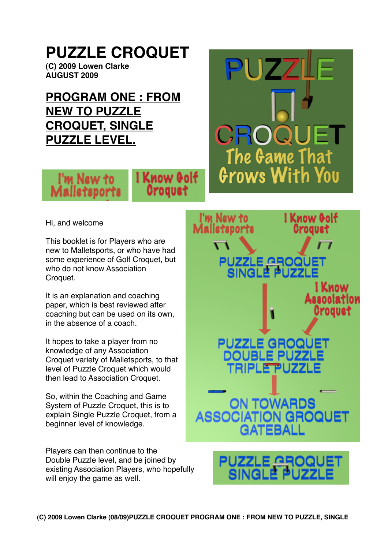# **PUZZLE CROQUET**

**(C) 2009 Lowen Clarke AUGUST 2009**

### **PROGRAM ONE : FROM NEW TO PUZZLE CROQUET, SINGLE PUZZLE LEVEL.**



I Know Golf **Croquet** 

Hi, and welcome

This booklet is for Players who are new to Malletsports, or who have had some experience of Golf Croquet, but who do not know Association Croquet.

It is an explanation and coaching paper, which is best reviewed after coaching but can be used on its own, in the absence of a coach.

It hopes to take a player from no knowledge of any Association Croquet variety of Malletsports, to that level of Puzzle Croquet which would then lead to Association Croquet.

So, within the Coaching and Game System of Puzzle Croquet, this is to explain Single Puzzle Croquet, from a beginner level of knowledge.

Players can then continue to the Double Puzzle level, and be joined by existing Association Players, who hopefully will enjoy the game as well.



PUZZIL

The Game That

Grows With You

CROQI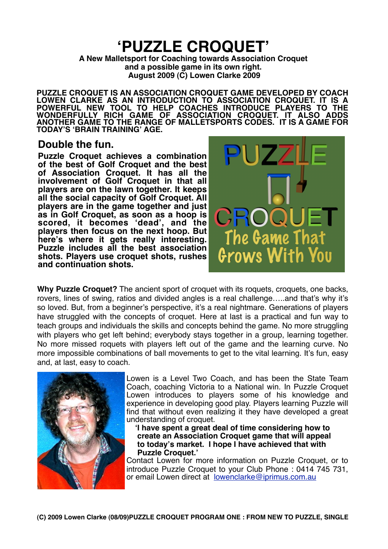## **ʻPUZZLE CROQUET'**

**A New Malletsport for Coaching towards Association Croquet and a possible game in its own right. August 2009 (C) Lowen Clarke 2009**

**PUZZLE CROQUET IS AN ASSOCIATION CROQUET GAME DEVELOPED BY COACH LOWEN CLARKE AS AN INTRODUCTION TO ASSOCIATION CROQUET. IT IS A POWERFUL NEW TOOL TO HELP COACHES INTRODUCE PLAYERS TO THE WONDERFULLY RICH GAME OF ASSOCIATION CROQUET. IT ALSO ADDS ANOTHER GAME TO THE RANGE OF MALLETSPORTS CODES. IT IS A GAME FOR TODAY'S ʻBRAIN TRAINING' AGE.**

#### **Double the fun.**

**Puzzle Croquet achieves a combination of the best of Golf Croquet and the best of Association Croquet. It has all the involvement of Golf Croquet in that all players are on the lawn together. It keeps all the social capacity of Golf Croquet. All players are in the game together and just as in Golf Croquet, as soon as a hoop is scored, it becomes ʻdead', and the players then focus on the next hoop. But here's where it gets really interesting. Puzzle includes all the best association shots. Players use croquet shots, rushes and continuation shots.** 



**Why Puzzle Croquet?** The ancient sport of croquet with its roquets, croquets, one backs, rovers, lines of swing, ratios and divided angles is a real challenge…..and that's why it's so loved. But, from a beginner's perspective, it's a real nightmare. Generations of players have struggled with the concepts of croquet. Here at last is a practical and fun way to teach groups and individuals the skills and concepts behind the game. No more struggling with players who get left behind; everybody stays together in a group, learning together. No more missed roquets with players left out of the game and the learning curve. No more impossible combinations of ball movements to get to the vital learning. It's fun, easy and, at last, easy to coach.



Lowen is a Level Two Coach, and has been the State Team Coach, coaching Victoria to a National win. In Puzzle Croquet Lowen introduces to players some of his knowledge and experience in developing good play. Players learning Puzzle will find that without even realizing it they have developed a great understanding of croquet.

 **ʻI have spent a great deal of time considering how to create an Association Croquet game that will appeal to today's market. I hope I have achieved that with Puzzle Croquet.'**

Contact Lowen for more information on Puzzle Croquet, or to introduce Puzzle Croquet to your Club Phone : 0414 745 731, or email Lowen direct at [lowenclarke@iprimus.com.au](mailto:lowenclarke@iprimus.com.au)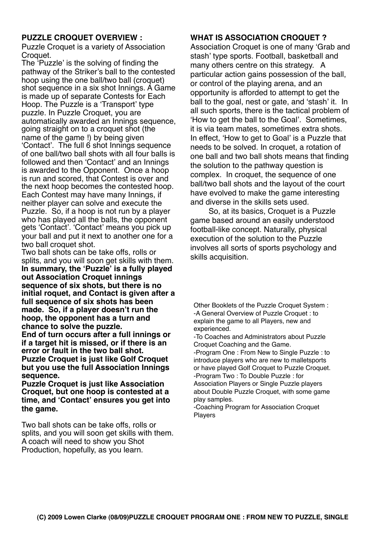#### **PUZZLE CROQUET OVERVIEW :**

Puzzle Croquet is a variety of Association Croquet.

The ʻPuzzle' is the solving of finding the pathway of the Striker's ball to the contested hoop using the one ball/two ball (croquet) shot sequence in a six shot Innings. A Game is made up of separate Contests for Each Hoop. The Puzzle is a ʻTransport' type puzzle. In Puzzle Croquet, you are automatically awarded an Innings sequence, going straight on to a croquet shot (the name of the game !) by being given ʻContact'. The full 6 shot Innings sequence of one ball/two ball shots with all four balls is followed and then ʻContact' and an Innings is awarded to the Opponent. Once a hoop is run and scored, that Contest is over and the next hoop becomes the contested hoop. Each Contest may have many Innings, if neither player can solve and execute the Puzzle. So, if a hoop is not run by a player who has played all the balls, the opponent gets ʻContact'. ʻContact' means you pick up your ball and put it next to another one for a two ball croquet shot.

Two ball shots can be take offs, rolls or splits, and you will soon get skills with them. **In summary, the ʻPuzzle' is a fully played out Association Croquet innings sequence of six shots, but there is no initial roquet, and Contact is given after a full sequence of six shots has been made. So, if a player doesn't run the hoop, the opponent has a turn and chance to solve the puzzle.**

**End of turn occurs after a full innings or if a target hit is missed, or if there is an error or fault in the two ball shot. Puzzle Croquet is just like Golf Croquet but you use the full Association Innings sequence.**

**Puzzle Croquet is just like Association Croquet, but one hoop is contested at a time, and ʻContact' ensures you get into the game.**

Two ball shots can be take offs, rolls or splits, and you will soon get skills with them. A coach will need to show you Shot Production, hopefully, as you learn.

#### **WHAT IS ASSOCIATION CROQUET ?**

Association Croquet is one of many ʻGrab and stash' type sports. Football, basketball and many others centre on this strategy. A particular action gains possession of the ball, or control of the playing arena, and an opportunity is afforded to attempt to get the ball to the goal, nest or gate, and ʻstash' it. In all such sports, there is the tactical problem of ʻHow to get the ball to the Goal'. Sometimes, it is via team mates, sometimes extra shots. In effect, ʻHow to get to Goal' is a Puzzle that needs to be solved. In croquet, a rotation of one ball and two ball shots means that finding the solution to the pathway question is complex. In croquet, the sequence of one ball/two ball shots and the layout of the court have evolved to make the game interesting and diverse in the skills sets used.

So, at its basics, Croquet is a Puzzle game based around an easily understood football-like concept. Naturally, physical execution of the solution to the Puzzle involves all sorts of sports psychology and skills acquisition.

Other Booklets of the Puzzle Croquet System : -A General Overview of Puzzle Croquet : to explain the game to all Players, new and experienced.

-To Coaches and Administrators about Puzzle Croquet Coaching and the Game. -Program One : From New to Single Puzzle : to introduce players who are new to malletsports or have played Golf Croquet to Puzzle Croquet. -Program Two : To Double Puzzle : for Association Players or Single Puzzle players about Double Puzzle Croquet, with some game play samples.

-Coaching Program for Association Croquet Players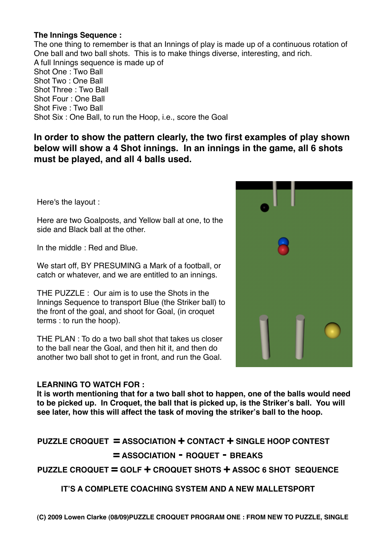#### **The Innings Sequence :**

The one thing to remember is that an Innings of play is made up of a continuous rotation of One ball and two ball shots. This is to make things diverse, interesting, and rich. A full Innings sequence is made up of Shot One : Two Ball Shot Two : One Ball Shot Three : Two Ball Shot Four : One Ball Shot Five : Two Ball Shot Six : One Ball, to run the Hoop, i.e., score the Goal

**In order to show the pattern clearly, the two first examples of play shown below will show a 4 Shot innings. In an innings in the game, all 6 shots must be played, and all 4 balls used.**

Here's the layout :

Here are two Goalposts, and Yellow ball at one, to the side and Black ball at the other.

In the middle : Red and Blue.

We start off, BY PRESUMING a Mark of a football, or catch or whatever, and we are entitled to an innings.

THE PUZZLE : Our aim is to use the Shots in the Innings Sequence to transport Blue (the Striker ball) to the front of the goal, and shoot for Goal, (in croquet terms : to run the hoop).

THE PLAN : To do a two ball shot that takes us closer to the ball near the Goal, and then hit it, and then do another two ball shot to get in front, and run the Goal.



#### **LEARNING TO WATCH FOR :**

**It is worth mentioning that for a two ball shot to happen, one of the balls would need to be picked up. In Croquet, the ball that is picked up, is the Striker's ball. You will see later, how this will affect the task of moving the striker's ball to the hoop.**

**PUZZLE CROQUET = ASSOCIATION + CONTACT + SINGLE HOOP CONTEST**

**= ASSOCIATION - ROQUET - BREAKS**

**PUZZLE CROQUET = GOLF + CROQUET SHOTS + ASSOC 6 SHOT SEQUENCE**

 **IT'S A COMPLETE COACHING SYSTEM AND A NEW MALLETSPORT**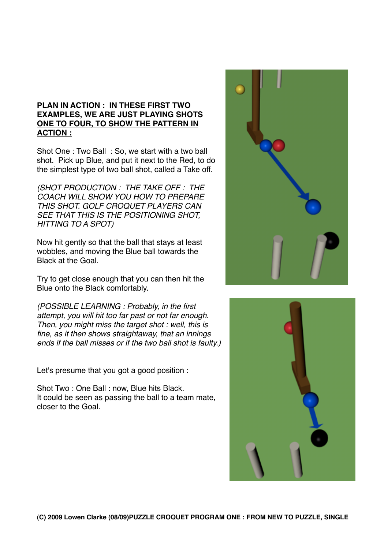#### **PLAN IN ACTION : IN THESE FIRST TWO EXAMPLES, WE ARE JUST PLAYING SHOTS ONE TO FOUR, TO SHOW THE PATTERN IN ACTION :**

Shot One : Two Ball : So, we start with a two ball shot. Pick up Blue, and put it next to the Red, to do the simplest type of two ball shot, called a Take off.

*(SHOT PRODUCTION : THE TAKE OFF : THE COACH WILL SHOW YOU HOW TO PREPARE THIS SHOT. GOLF CROQUET PLAYERS CAN SEE THAT THIS IS THE POSITIONING SHOT, HITTING TO A SPOT)*

Now hit gently so that the ball that stays at least wobbles, and moving the Blue ball towards the Black at the Goal.

Try to get close enough that you can then hit the Blue onto the Black comfortably.

*(POSSIBLE LEARNING : Probably, in the first attempt, you will hit too far past or not far enough. Then, you might miss the target shot : well, this is fine, as it then shows straightaway, that an innings ends if the ball misses or if the two ball shot is faulty.)*

Let's presume that you got a good position :

Shot Two : One Ball : now, Blue hits Black. It could be seen as passing the ball to a team mate, closer to the Goal.



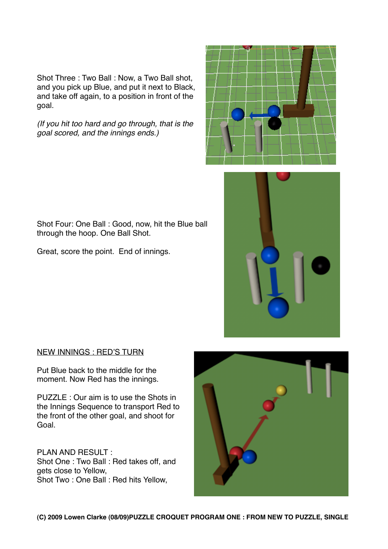Shot Three : Two Ball : Now, a Two Ball shot, and you pick up Blue, and put it next to Black, and take off again, to a position in front of the goal.

*(If you hit too hard and go through, that is the goal scored, and the innings ends.)*





Shot Four: One Ball : Good, now, hit the Blue ball through the hoop. One Ball Shot.

Great, score the point. End of innings.

#### NEW INNINGS : RED'S TURN

Put Blue back to the middle for the moment. Now Red has the innings.

PUZZLE : Our aim is to use the Shots in the Innings Sequence to transport Red to the front of the other goal, and shoot for Goal.

PLAN AND RESULT : Shot One : Two Ball : Red takes off, and gets close to Yellow, Shot Two : One Ball : Red hits Yellow,

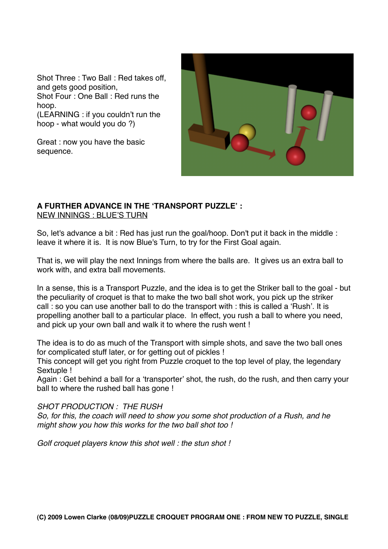Shot Three : Two Ball : Red takes off, and gets good position,

Shot Four : One Ball : Red runs the hoop.

(LEARNING : if you couldn't run the hoop - what would you do ?)

Great : now you have the basic sequence.

#### **A FURTHER ADVANCE IN THE ʻTRANSPORT PUZZLE' :** NEW INNINGS : BLUE'S TURN

So, let's advance a bit : Red has just run the goal/hoop. Don't put it back in the middle : leave it where it is. It is now Blue's Turn, to try for the First Goal again.

That is, we will play the next Innings from where the balls are. It gives us an extra ball to work with, and extra ball movements.

In a sense, this is a Transport Puzzle, and the idea is to get the Striker ball to the goal - but the peculiarity of croquet is that to make the two ball shot work, you pick up the striker call : so you can use another ball to do the transport with : this is called a ʻRush'. It is propelling another ball to a particular place. In effect, you rush a ball to where you need, and pick up your own ball and walk it to where the rush went !

The idea is to do as much of the Transport with simple shots, and save the two ball ones for complicated stuff later, or for getting out of pickles !

This concept will get you right from Puzzle croquet to the top level of play, the legendary Sextuple !

Again : Get behind a ball for a ʻtransporter' shot, the rush, do the rush, and then carry your ball to where the rushed ball has gone !

#### *SHOT PRODUCTION : THE RUSH*

*So, for this, the coach will need to show you some shot production of a Rush, and he might show you how this works for the two ball shot too !*

*Golf croquet players know this shot well : the stun shot !*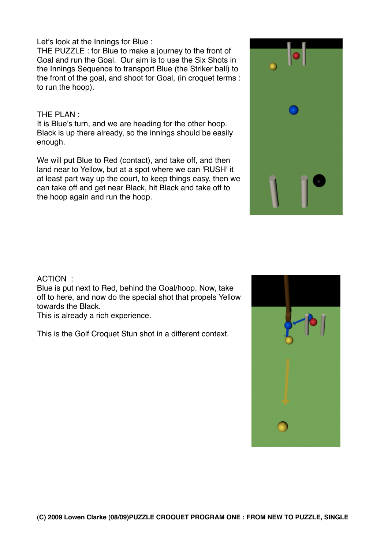Let's look at the Innings for Blue :

THE PUZZLE : for Blue to make a journey to the front of Goal and run the Goal. Our aim is to use the Six Shots in the Innings Sequence to transport Blue (the Striker ball) to the front of the goal, and shoot for Goal, (in croquet terms : to run the hoop).

#### THE PLAN :

It is Blue's turn, and we are heading for the other hoop. Black is up there already, so the innings should be easily enough.

We will put Blue to Red (contact), and take off, and then land near to Yellow, but at a spot where we can 'RUSH' it at least part way up the court, to keep things easy, then we can take off and get near Black, hit Black and take off to the hoop again and run the hoop.



#### ACTION :

Blue is put next to Red, behind the Goal/hoop. Now, take off to here, and now do the special shot that propels Yellow towards the Black.

This is already a rich experience.

This is the Golf Croquet Stun shot in a different context.

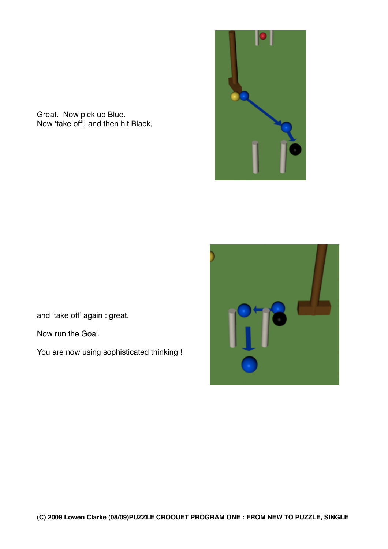Great. Now pick up Blue. Now ʻtake off', and then hit Black,





and ʻtake off' again : great.

Now run the Goal.

You are now using sophisticated thinking !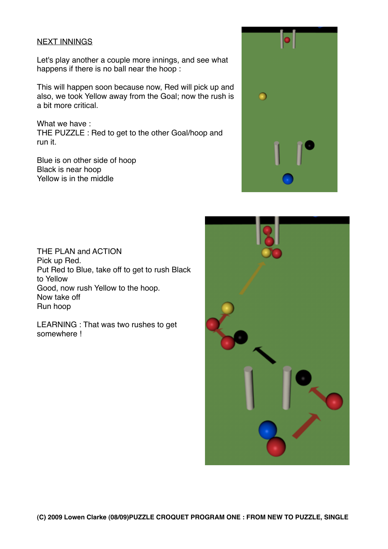#### NEXT INNINGS

Let's play another a couple more innings, and see what happens if there is no ball near the hoop :

This will happen soon because now, Red will pick up and also, we took Yellow away from the Goal; now the rush is a bit more critical.

What we have : THE PUZZLE : Red to get to the other Goal/hoop and run it.

Blue is on other side of hoop Black is near hoop Yellow is in the middle



THE PLAN and ACTION Pick up Red. Put Red to Blue, take off to get to rush Black to Yellow Good, now rush Yellow to the hoop. Now take off Run hoop

LEARNING : That was two rushes to get somewhere !

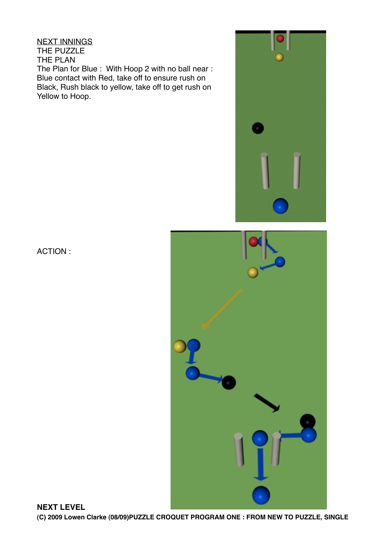NEXT INNINGS THE PUZZLE THE PLAN The Plan for Blue : With Hoop 2 with no ball near : Blue contact with Red, take off to ensure rush on Black, Rush black to yellow, take off to get rush on Yellow to Hoop.

ACTION :

**NEXT LEVEL (C) 2009 Lowen Clarke (08/09)PUZZLE CROQUET PROGRAM ONE : FROM NEW TO PUZZLE, SINGLE**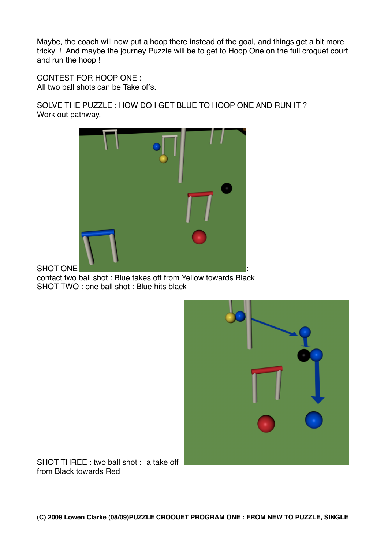Maybe, the coach will now put a hoop there instead of the goal, and things get a bit more tricky ! And maybe the journey Puzzle will be to get to Hoop One on the full croquet court and run the hoop !

CONTEST FOR HOOP ONE : All two ball shots can be Take offs.

SOLVE THE PUZZLE : HOW DO I GET BLUE TO HOOP ONE AND RUN IT ? Work out pathway. 



SHOT ONE

contact two ball shot : Blue takes off from Yellow towards Black SHOT TWO : one ball shot : Blue hits black



SHOT THREE : two ball shot : a take off from Black towards Red